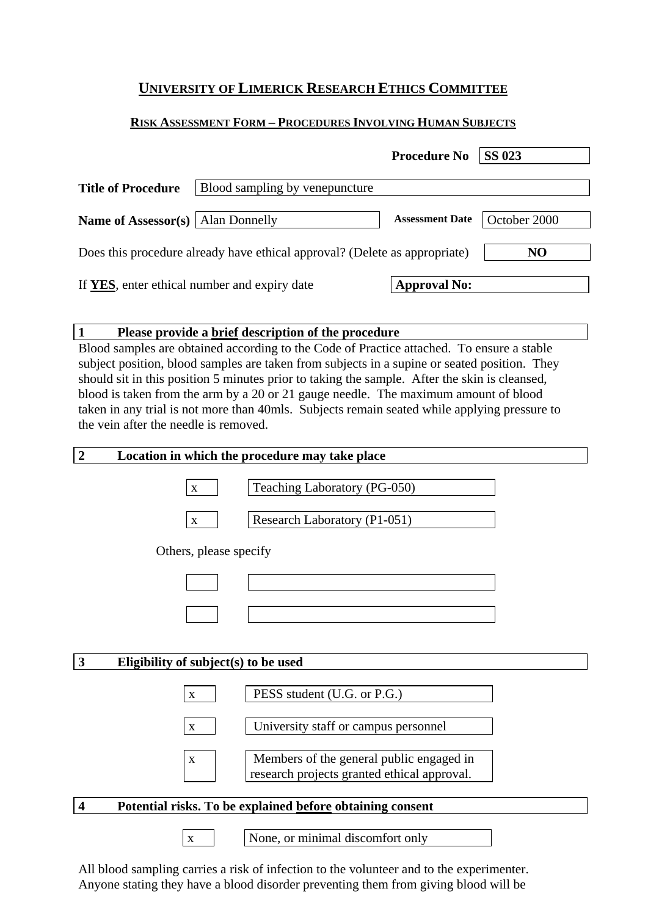# **UNIVERSITY OF LIMERICK RESEARCH ETHICS COMMITTEE**

# **RISK ASSESSMENT FORM – PROCEDURES INVOLVING HUMAN SUBJECTS**

|                                            |                                                                            | <b>Procedure No</b>    | <b>SS 023</b>  |
|--------------------------------------------|----------------------------------------------------------------------------|------------------------|----------------|
| <b>Title of Procedure</b>                  | Blood sampling by venepuncture                                             |                        |                |
| <b>Name of Assessor(s)</b>   Alan Donnelly |                                                                            | <b>Assessment Date</b> | October 2000   |
|                                            | Does this procedure already have ethical approval? (Delete as appropriate) |                        | N <sub>O</sub> |
|                                            | If YES, enter ethical number and expiry date                               | <b>Approval No:</b>    |                |

# **1 Please provide a brief description of the procedure**

Blood samples are obtained according to the Code of Practice attached. To ensure a stable subject position, blood samples are taken from subjects in a supine or seated position. They should sit in this position 5 minutes prior to taking the sample. After the skin is cleansed, blood is taken from the arm by a 20 or 21 gauge needle. The maximum amount of blood taken in any trial is not more than 40mls. Subjects remain seated while applying pressure to the vein after the needle is removed.

# **2 Location in which the procedure may take place**



All blood sampling carries a risk of infection to the volunteer and to the experimenter. Anyone stating they have a blood disorder preventing them from giving blood will be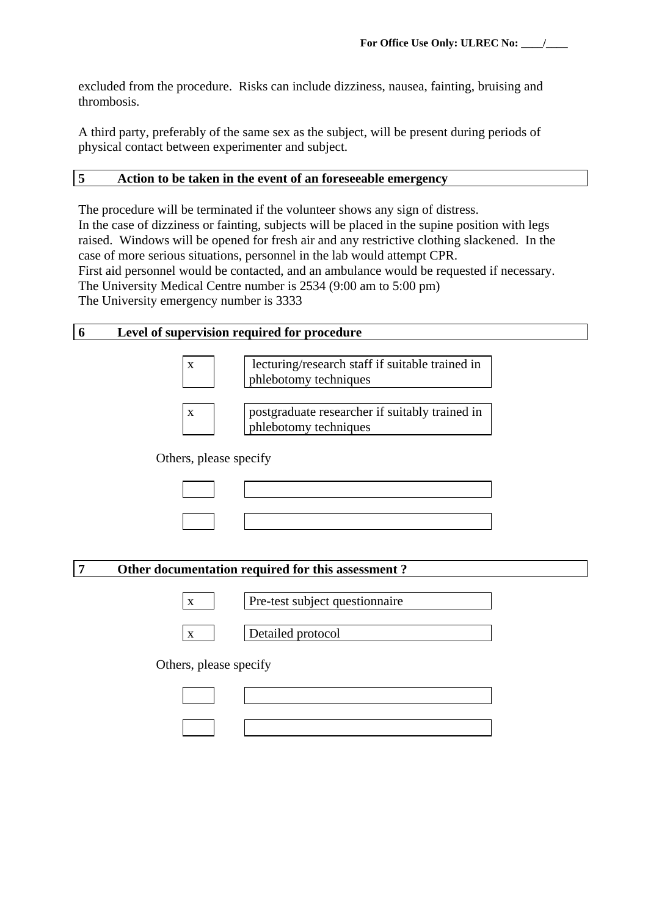excluded from the procedure. Risks can include dizziness, nausea, fainting, bruising and thrombosis.

A third party, preferably of the same sex as the subject, will be present during periods of physical contact between experimenter and subject.

### **5 Action to be taken in the event of an foreseeable emergency**

The procedure will be terminated if the volunteer shows any sign of distress. In the case of dizziness or fainting, subjects will be placed in the supine position with legs raised. Windows will be opened for fresh air and any restrictive clothing slackened. In the case of more serious situations, personnel in the lab would attempt CPR. First aid personnel would be contacted, and an ambulance would be requested if necessary. The University Medical Centre number is 2534 (9:00 am to 5:00 pm) The University emergency number is 3333

#### **6 Level of supervision required for procedure**

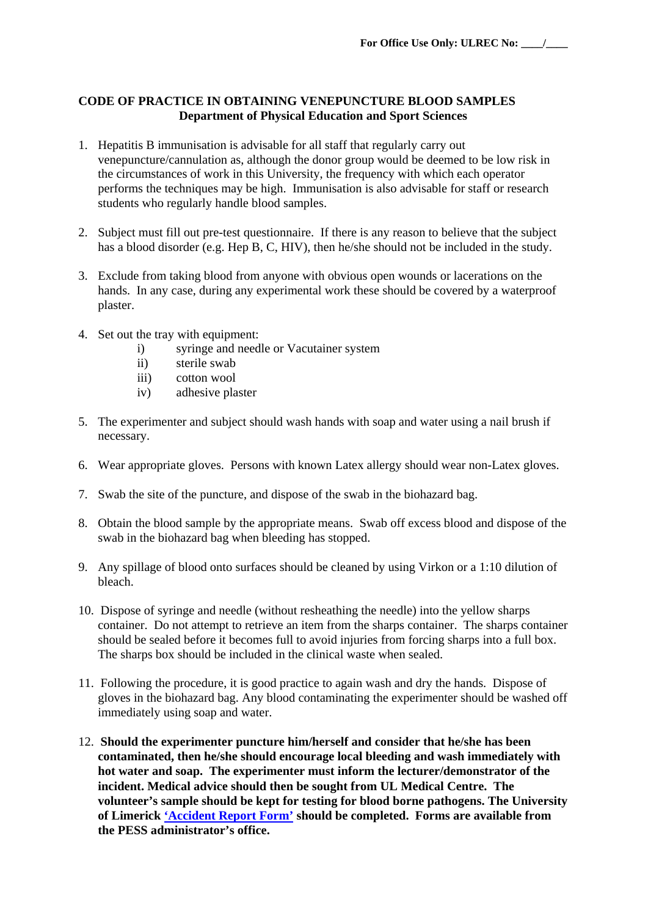### **CODE OF PRACTICE IN OBTAINING VENEPUNCTURE BLOOD SAMPLES Department of Physical Education and Sport Sciences**

- 1. Hepatitis B immunisation is advisable for all staff that regularly carry out venepuncture/cannulation as, although the donor group would be deemed to be low risk in the circumstances of work in this University, the frequency with which each operator performs the techniques may be high. Immunisation is also advisable for staff or research students who regularly handle blood samples.
- 2. Subject must fill out pre-test questionnaire. If there is any reason to believe that the subject has a blood disorder (e.g. Hep B, C, HIV), then he/she should not be included in the study.
- 3. Exclude from taking blood from anyone with obvious open wounds or lacerations on the hands. In any case, during any experimental work these should be covered by a waterproof plaster.
- 4. Set out the tray with equipment:
	- i) syringe and needle or Vacutainer system
	- ii) sterile swab
	- iii) cotton wool
	- iv) adhesive plaster
- 5. The experimenter and subject should wash hands with soap and water using a nail brush if necessary.
- 6. Wear appropriate gloves. Persons with known Latex allergy should wear non-Latex gloves.
- 7. Swab the site of the puncture, and dispose of the swab in the biohazard bag.
- 8. Obtain the blood sample by the appropriate means. Swab off excess blood and dispose of the swab in the biohazard bag when bleeding has stopped.
- 9. Any spillage of blood onto surfaces should be cleaned by using Virkon or a 1:10 dilution of bleach.
- 10. Dispose of syringe and needle (without resheathing the needle) into the yellow sharps container. Do not attempt to retrieve an item from the sharps container. The sharps container should be sealed before it becomes full to avoid injuries from forcing sharps into a full box. The sharps box should be included in the clinical waste when sealed.
- 11. Following the procedure, it is good practice to again wash and dry the hands. Dispose of gloves in the biohazard bag. Any blood contaminating the experimenter should be washed off immediately using soap and water.
- 12. **Should the experimenter puncture him/herself and consider that he/she has been contaminated, then he/she should encourage local bleeding and wash immediately with hot water and soap. The experimenter must inform the lecturer/demonstrator of the incident. Medical advice should then be sought from UL Medical Centre. The volunteer's sample should be kept for testing for blood borne pathogens. The University of Limerick ['Accident Report Form'](http://www2.ul.ie/web/WWW/Services/Human%20Resources/Health%20%26%20Safety/Accidents%2C%20Dangerous%20Occurrences) should be completed. Forms are available from the PESS administrator's office.**